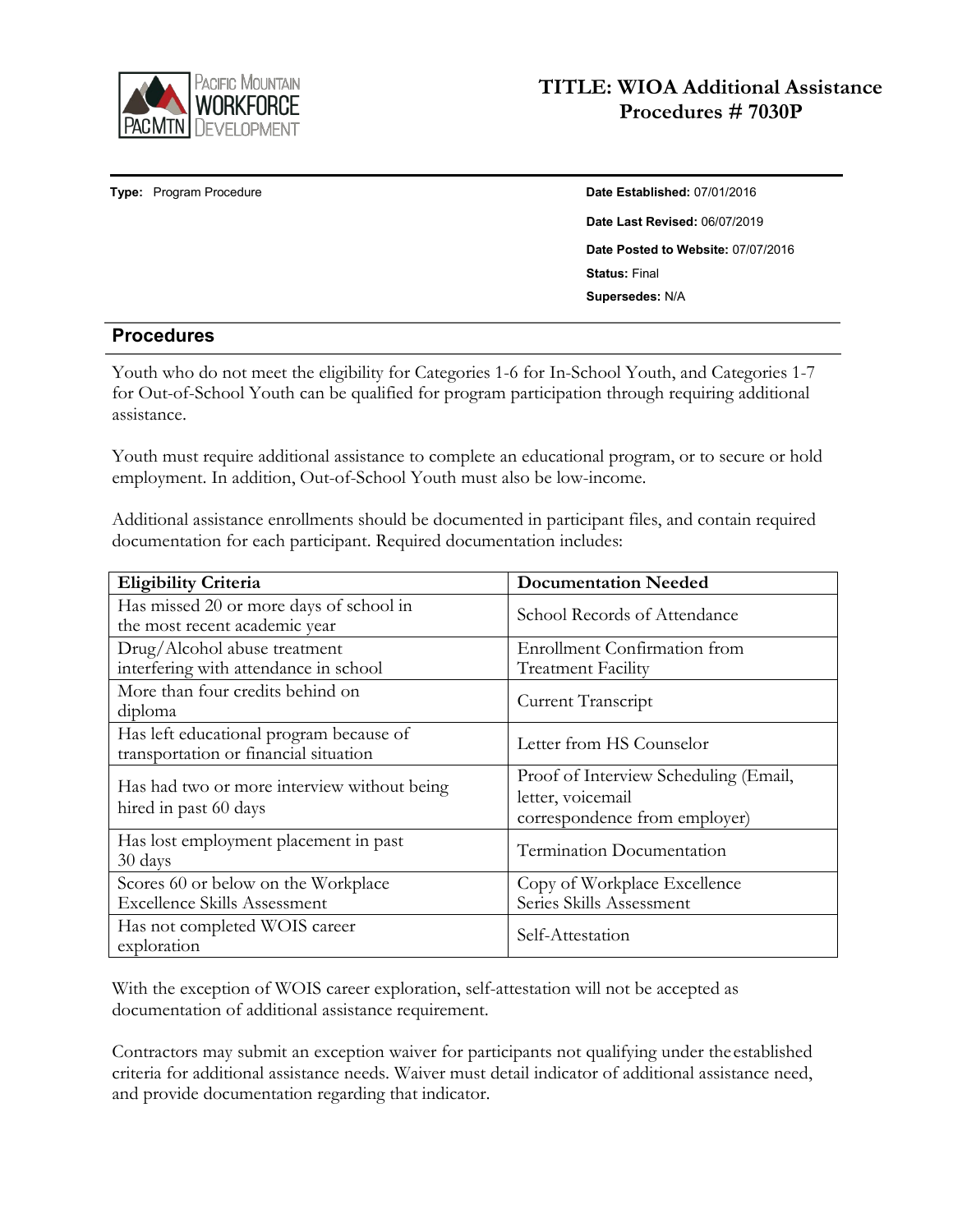

**Type:** Program Procedure **Date Established:** 07/01/2016

**Date Last Revised:** 06/07/2019 **Date Posted to Website:** 07/07/2016 **Status:** Final **Supersedes:** N/A

## **Procedures**

Youth who do not meet the eligibility for Categories 1-6 for In-School Youth, and Categories 1-7 for Out-of-School Youth can be qualified for program participation through requiring additional assistance.

Youth must require additional assistance to complete an educational program, or to secure or hold employment. In addition, Out-of-School Youth must also be low-income.

Additional assistance enrollments should be documented in participant files, and contain required documentation for each participant. Required documentation includes:

| <b>Eligibility Criteria</b>                                                      | <b>Documentation Needed</b>                                                                 |
|----------------------------------------------------------------------------------|---------------------------------------------------------------------------------------------|
| Has missed 20 or more days of school in<br>the most recent academic year         | School Records of Attendance                                                                |
| Drug/Alcohol abuse treatment<br>interfering with attendance in school            | <b>Enrollment Confirmation from</b><br><b>Treatment Facility</b>                            |
| More than four credits behind on<br>diploma                                      | Current Transcript                                                                          |
| Has left educational program because of<br>transportation or financial situation | Letter from HS Counselor                                                                    |
| Has had two or more interview without being<br>hired in past 60 days             | Proof of Interview Scheduling (Email,<br>letter, voicemail<br>correspondence from employer) |
| Has lost employment placement in past<br>30 days                                 | Termination Documentation                                                                   |
| Scores 60 or below on the Workplace<br><b>Excellence Skills Assessment</b>       | Copy of Workplace Excellence<br>Series Skills Assessment                                    |
| Has not completed WOIS career<br>exploration                                     | Self-Attestation                                                                            |

With the exception of WOIS career exploration, self-attestation will not be accepted as documentation of additional assistance requirement.

Contractors may submit an exception waiver for participants not qualifying under theestablished criteria for additional assistance needs. Waiver must detail indicator of additional assistance need, and provide documentation regarding that indicator.